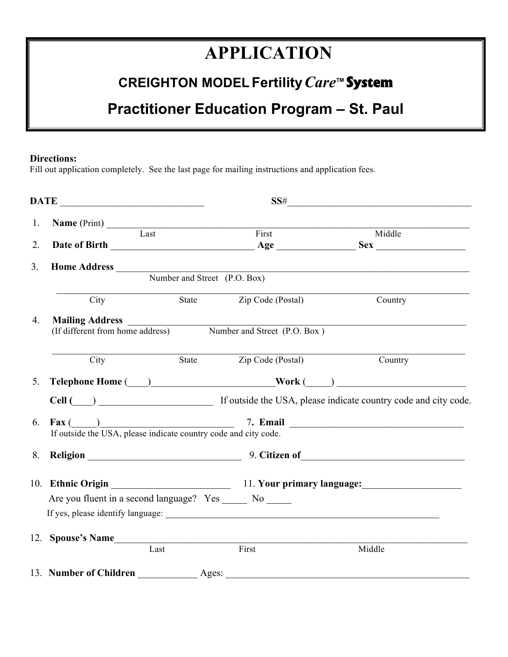# **APPLICATION**

# **CREIGHTON MODEL Fertility***Care***TM System**

# **Practitioner Education Program – St. Paul**

#### **Directions:**

Fill out application completely. See the last page for mailing instructions and application fees.

|    |                                                               |       | SS#                     |                                                                                                                                                                                                                                      |
|----|---------------------------------------------------------------|-------|-------------------------|--------------------------------------------------------------------------------------------------------------------------------------------------------------------------------------------------------------------------------------|
| 1. | <b>Name</b> (Print)                                           |       |                         |                                                                                                                                                                                                                                      |
| 2. | Last                                                          |       | First                   | Middle                                                                                                                                                                                                                               |
|    |                                                               |       |                         |                                                                                                                                                                                                                                      |
| 3. |                                                               |       |                         | Home Address Number and Street (P.O. Box)                                                                                                                                                                                            |
|    |                                                               |       |                         |                                                                                                                                                                                                                                      |
|    | City                                                          |       | State Zip Code (Postal) | Country                                                                                                                                                                                                                              |
| 4. |                                                               |       |                         | Mailing Address <u>and the contract of the contract of the contract of the contract of the contract of the contract of the contract of the contract of the contract of the contract of the contract of the contract of the contr</u> |
|    | (If different from home address) Number and Street (P.O. Box) |       |                         |                                                                                                                                                                                                                                      |
|    | City                                                          |       | State Zip Code (Postal) | Country                                                                                                                                                                                                                              |
| 5. |                                                               |       |                         | $\begin{tabular}{c} \bf Telephone Home ( \hspace{1cm} ) \hspace{1cm} \hspace{1cm} \hspace{1cm} \hspace{1cm} \hspace{1cm} \hspace{1cm} \hspace{1cm} \hspace{1cm} \hspace{1cm} \hspace{1cm} \hspace{1cm} \end{tabular}$                |
|    |                                                               |       |                         |                                                                                                                                                                                                                                      |
| 6. |                                                               |       |                         | Fax $\frac{)}{}$ 7. Email $\frac{7. \text{ Email}}{1}$ $\frac{7. \text{Email}}{1}$                                                                                                                                                   |
|    |                                                               |       |                         |                                                                                                                                                                                                                                      |
| 8. |                                                               |       |                         | Religion 19. Citizen of 19. Citizen of 19. Community of 20. Citizen of 20. Citizen of 20. Citizen of 20. Citizen of 20. Citizen of 20. Citizen of 20. Citizen of 20. Citizen of 20. Citizen of 20. Citizen of 20. Citizen of 2       |
|    |                                                               |       |                         |                                                                                                                                                                                                                                      |
|    | Are you fluent in a second language? Yes _______ No ______    |       |                         |                                                                                                                                                                                                                                      |
|    |                                                               |       |                         |                                                                                                                                                                                                                                      |
|    | 12. Spouse's Name                                             |       |                         |                                                                                                                                                                                                                                      |
|    | Last                                                          |       | First                   | Middle                                                                                                                                                                                                                               |
|    | 13. Number of Children                                        | Ages: |                         |                                                                                                                                                                                                                                      |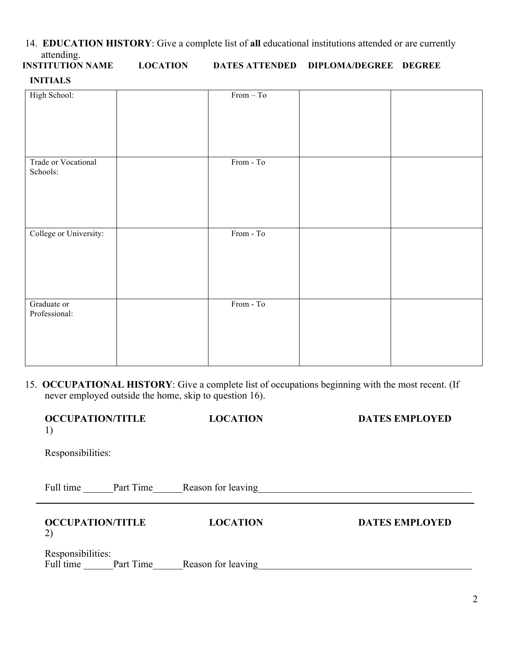14. **EDUCATION HISTORY**: Give a complete list of **all** educational institutions attended or are currently attending.<br>INSTITUTION NAME

**INSTITUTION DATES ATTENDED DIPLOMA/DEGREE DEGREE INITIALS**

| High School:           | $From - To$ |  |
|------------------------|-------------|--|
|                        |             |  |
|                        |             |  |
|                        |             |  |
|                        |             |  |
|                        |             |  |
|                        |             |  |
|                        |             |  |
|                        |             |  |
|                        |             |  |
| Trade or Vocational    | From - To   |  |
|                        |             |  |
| Schools:               |             |  |
|                        |             |  |
|                        |             |  |
|                        |             |  |
|                        |             |  |
|                        |             |  |
|                        |             |  |
|                        |             |  |
|                        |             |  |
| College or University: | $From - To$ |  |
|                        |             |  |
|                        |             |  |
|                        |             |  |
|                        |             |  |
|                        |             |  |
|                        |             |  |
|                        |             |  |
|                        |             |  |
|                        |             |  |
|                        |             |  |
| Graduate or            | From - To   |  |
|                        |             |  |
| Professional:          |             |  |
|                        |             |  |
|                        |             |  |
|                        |             |  |
|                        |             |  |
|                        |             |  |
|                        |             |  |
|                        |             |  |
|                        |             |  |

 15. **OCCUPATIONAL HISTORY**: Give a complete list of occupations beginning with the most recent. (If never employed outside the home, skip to question 16).

| <b>OCCUPATION/TITLE</b><br>1) |           | <b>LOCATION</b>    | <b>DATES EMPLOYED</b> |
|-------------------------------|-----------|--------------------|-----------------------|
| Responsibilities:             |           |                    |                       |
| Full time                     | Part Time | Reason for leaving |                       |
| <b>OCCUPATION/TITLE</b><br>2) |           | <b>LOCATION</b>    | <b>DATES EMPLOYED</b> |
| Responsibilities:             |           |                    |                       |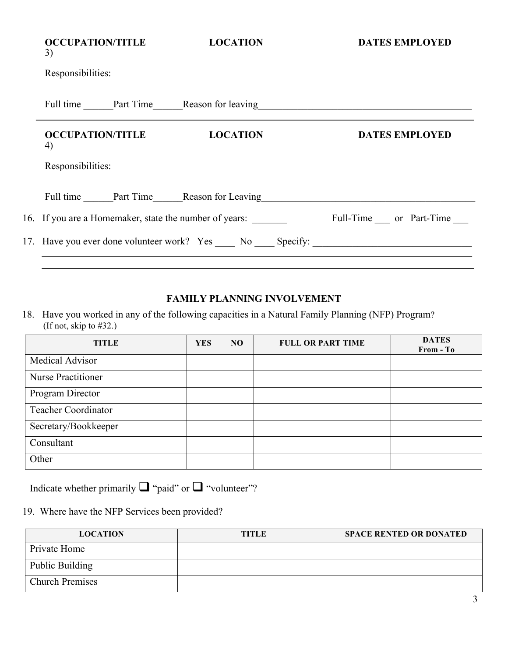| <b>OCCUPATION/TITLE</b><br>3)                          | <b>LOCATION</b>                        | <b>DATES EMPLOYED</b>                                                                                         |
|--------------------------------------------------------|----------------------------------------|---------------------------------------------------------------------------------------------------------------|
| Responsibilities:                                      |                                        |                                                                                                               |
|                                                        |                                        | Full time Part Time Reason for leaving Reason for the Changes Allen Contains a part of the Reason for leaving |
| <b>OCCUPATION/TITLE</b><br>4)                          | <b>LOCATION</b>                        | <b>DATES EMPLOYED</b>                                                                                         |
| Responsibilities:                                      |                                        |                                                                                                               |
|                                                        | Full time Part Time Reason for Leaving |                                                                                                               |
| 16. If you are a Homemaker, state the number of years: |                                        | Full-Time or Part-Time                                                                                        |
|                                                        |                                        | 17. Have you ever done volunteer work? Yes No Specify:                                                        |

## **FAMILY PLANNING INVOLVEMENT**

18. Have you worked in any of the following capacities in a Natural Family Planning (NFP) Program? (If not, skip to #32.)

| <b>TITLE</b>               | <b>YES</b> | NO. | <b>FULL OR PART TIME</b> | <b>DATES</b><br>From - To |
|----------------------------|------------|-----|--------------------------|---------------------------|
| Medical Advisor            |            |     |                          |                           |
| <b>Nurse Practitioner</b>  |            |     |                          |                           |
| Program Director           |            |     |                          |                           |
| <b>Teacher Coordinator</b> |            |     |                          |                           |
| Secretary/Bookkeeper       |            |     |                          |                           |
| Consultant                 |            |     |                          |                           |
| Other                      |            |     |                          |                           |

Indicate whether primarily  $\Box$  "paid" or  $\Box$  "volunteer"?

### 19. Where have the NFP Services been provided?

| <b>LOCATION</b>        | <b>TITLE</b> | <b>SPACE RENTED OR DONATED</b> |
|------------------------|--------------|--------------------------------|
| Private Home           |              |                                |
| Public Building        |              |                                |
| <b>Church Premises</b> |              |                                |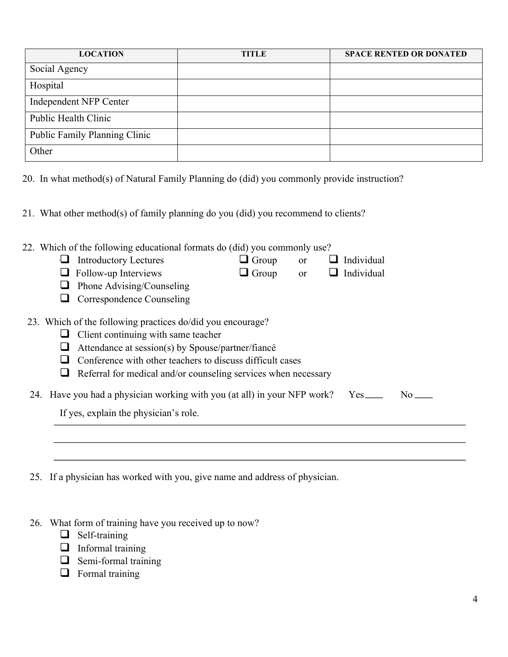| <b>LOCATION</b>               | <b>TITLE</b> | <b>SPACE RENTED OR DONATED</b> |
|-------------------------------|--------------|--------------------------------|
| Social Agency                 |              |                                |
| Hospital                      |              |                                |
| Independent NFP Center        |              |                                |
| Public Health Clinic          |              |                                |
| Public Family Planning Clinic |              |                                |
| Other                         |              |                                |

20. In what method(s) of Natural Family Planning do (did) you commonly provide instruction?

21. What other method(s) of family planning do you (did) you recommend to clients?

| 22. Which of the following educational formats do (did) you commonly use?    |              |               |            |    |  |
|------------------------------------------------------------------------------|--------------|---------------|------------|----|--|
| <b>Introductory Lectures</b>                                                 | $\Box$ Group | <sub>or</sub> | Individual |    |  |
| Follow-up Interviews                                                         | $\Box$ Group | <sub>or</sub> | Individual |    |  |
| Phone Advising/Counseling                                                    |              |               |            |    |  |
| Correspondence Counseling                                                    |              |               |            |    |  |
| 23. Which of the following practices do/did you encourage?                   |              |               |            |    |  |
| Client continuing with same teacher                                          |              |               |            |    |  |
| Attendance at session(s) by Spouse/partner/fiance                            |              |               |            |    |  |
| Conference with other teachers to discuss difficult cases                    |              |               |            |    |  |
| Referral for medical and/or counseling services when necessary               |              |               |            |    |  |
| 24. Have you had a physician working with you (at all) in your NFP work? Yes |              |               |            | No |  |
| If yes, explain the physician's role.                                        |              |               |            |    |  |
|                                                                              |              |               |            |    |  |
|                                                                              |              |               |            |    |  |
|                                                                              |              |               |            |    |  |

25. If a physician has worked with you, give name and address of physician.

26. What form of training have you received up to now?

 $\Box$  Self-training

- $\Box$  Informal training
- $\Box$  Semi-formal training
- $\Box$  Formal training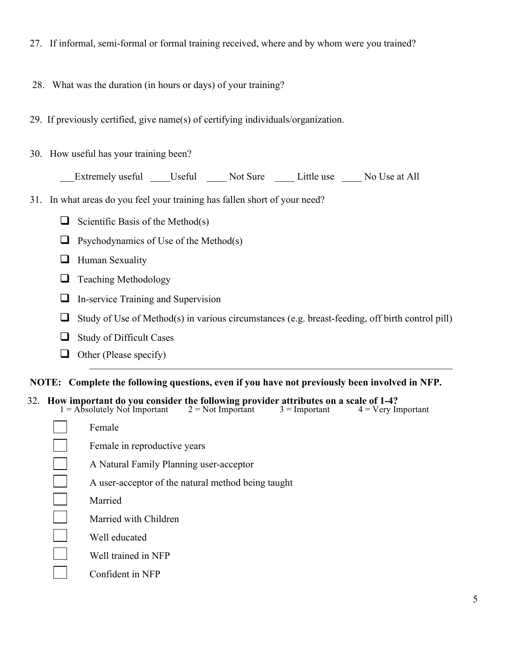27. If informal, semi-formal or formal training received, where and by whom were you trained?

28. What was the duration (in hours or days) of your training?

29. If previously certified, give name(s) of certifying individuals/organization.

30. How useful has your training been?

Extremely useful \_\_\_\_\_Useful \_\_\_\_\_\_Not Sure \_\_\_\_\_\_Little use \_\_\_\_\_No Use at All

31. In what areas do you feel your training has fallen short of your need?

- G Scientific Basis of the Method(s)
- $\Box$  Psychodynamics of Use of the Method(s)
- $\Box$  Human Sexuality
- $\Box$  Teaching Methodology
- $\Box$  In-service Training and Supervision
- $\Box$  Study of Use of Method(s) in various circumstances (e.g. breast-feeding, off birth control pill)
- $\Box$  Study of Difficult Cases
- $\Box$  Other (Please specify)

#### **NOTE: Complete the following questions, even if you have not previously been involved in NFP.**

32. **How important do you consider the following provider attributes on a scale of 1-4?**

| $1 =$ Absolutely Not Important | $2 = Not Important$                                | $3 =$ Important | $4 = V$ ery Important |
|--------------------------------|----------------------------------------------------|-----------------|-----------------------|
| Female                         |                                                    |                 |                       |
| Female in reproductive years   |                                                    |                 |                       |
|                                | A Natural Family Planning user-acceptor            |                 |                       |
|                                | A user-acceptor of the natural method being taught |                 |                       |
| Married                        |                                                    |                 |                       |
| Married with Children          |                                                    |                 |                       |
| Well educated                  |                                                    |                 |                       |
| Well trained in NFP            |                                                    |                 |                       |
| Confident in NFP               |                                                    |                 |                       |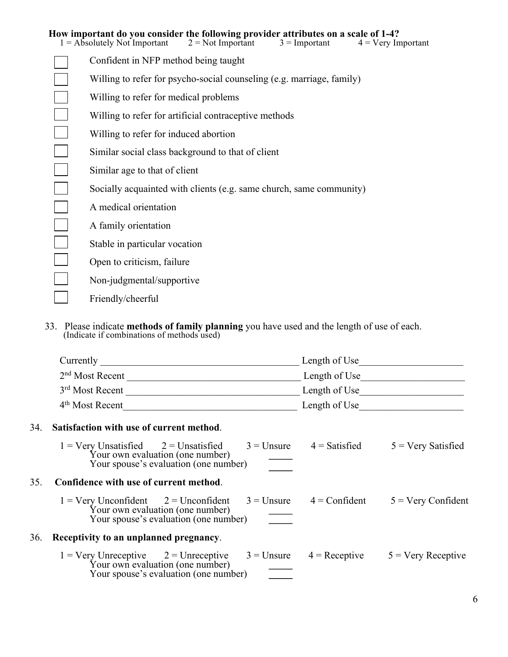| How important do you consider the following provider attributes on a scale of 1-4?<br>$1 =$ Absolutely Not Important<br>$2 = Not$ Important<br>$3 =$ Important<br>$4 =$ Very Important |
|----------------------------------------------------------------------------------------------------------------------------------------------------------------------------------------|
| Confident in NFP method being taught                                                                                                                                                   |
| Willing to refer for psycho-social counseling (e.g. marriage, family)                                                                                                                  |
| Willing to refer for medical problems                                                                                                                                                  |
| Willing to refer for artificial contraceptive methods                                                                                                                                  |
| Willing to refer for induced abortion                                                                                                                                                  |
| Similar social class background to that of client                                                                                                                                      |
| Similar age to that of client                                                                                                                                                          |
| Socially acquainted with clients (e.g. same church, same community)                                                                                                                    |
| A medical orientation                                                                                                                                                                  |
| A family orientation                                                                                                                                                                   |
| Stable in particular vocation                                                                                                                                                          |
| Open to criticism, failure                                                                                                                                                             |
| Non-judgmental/supportive                                                                                                                                                              |
| Friendly/cheerful                                                                                                                                                                      |

33. Please indicate **methods of family planning** you have used and the length of use of each. (Indicate if combinations of methods used)

|     | Currently                                                                                                                                                                      | Length of Use                |                             |
|-----|--------------------------------------------------------------------------------------------------------------------------------------------------------------------------------|------------------------------|-----------------------------|
|     |                                                                                                                                                                                |                              |                             |
|     | 3rd Most Recent                                                                                                                                                                |                              | Length of Use               |
|     | 4 <sup>th</sup> Most Recent                                                                                                                                                    | Length of Use                |                             |
| 34. | Satisfaction with use of current method.                                                                                                                                       |                              |                             |
|     | $1 = \text{Very Unsatisfied}$ $2 = \text{Unsatisfied}$ $3 = \text{Unsure}$ $4 = \text{Satisfied}$<br>Your own evaluation (one number)<br>Your spouse's evaluation (one number) |                              | $5 = \text{Very Satisfied}$ |
| 35. | Confidence with use of current method.                                                                                                                                         |                              |                             |
|     | $1 = \text{Very Unconfident}$ $2 = \text{Unconfident}$<br>Your own evaluation (one number)<br>Your spouse's evaluation (one number)                                            | $3 =$ Unsure $4 =$ Confident | $5 = \text{Very}$ Confident |
| 36. | Receptivity to an unplanned pregnancy.                                                                                                                                         |                              |                             |
|     | 1 = Very Unreceptive $2 =$ Unreceptive $3 =$ Unsure $4 =$ Receptive $5 =$ Very Receptive<br>Your own evaluation (one number)<br>Your spouse's evaluation (one number)          |                              |                             |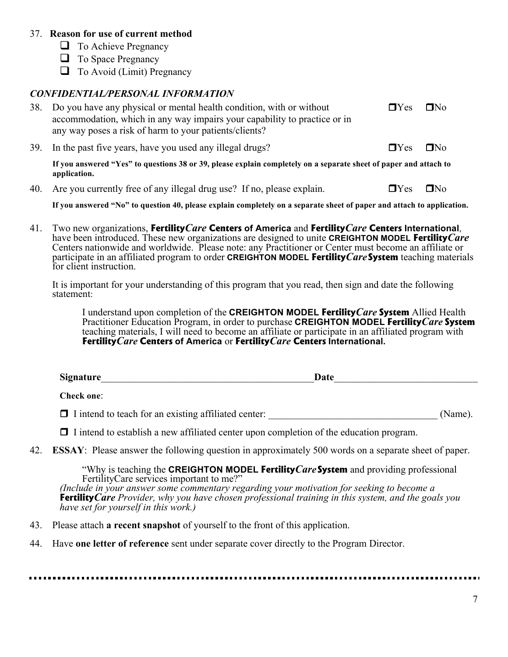#### 37. **Reason for use of current method**

- $\Box$  To Achieve Pregnancy
- $\Box$  To Space Pregnancy
- $\Box$  To Avoid (Limit) Pregnancy

#### *CONFIDENTIAL/PERSONAL INFORMATION*

| 38. Do you have any physical or mental health condition, with or without<br>accommodation, which in any way impairs your capability to practice or in<br>any way poses a risk of harm to your patients/clients? | $\Box$ Yes           | $\Box$ No |
|-----------------------------------------------------------------------------------------------------------------------------------------------------------------------------------------------------------------|----------------------|-----------|
| 39. In the past five years, have you used any illegal drugs?                                                                                                                                                    | $\Box$ Yes $\Box$ No |           |
| If you answered "Yes" to questions 38 or 39, please explain completely on a separate sheet of paper and attach to                                                                                               |                      |           |

**application.**

40. Are you currently free of any illegal drug use? If no, please explain.  $\Box$  Yes  $\Box$  No

**If you answered "No" to question 40, please explain completely on a separate sheet of paper and attach to application.**

41. Two new organizations, **Fertility***Care* **Centers of America** and **Fertility***Care* **Centers International**, have been introduced. These new organizations are designed to unite **CREIGHTON MODEL Fertility***Care* Centers nationwide and worldwide. Please note: any Practitioner or Center must become an affiliate or participate in an affiliated program to order **CREIGHTON MODEL Fertility***Care***System** teaching materials for client instruction.

It is important for your understanding of this program that you read, then sign and date the following statement:

I understand upon completion of the **CREIGHTON MODEL Fertility***Care* **System** Allied Health Practitioner Education Program, in order to purchase **CREIGHTON MODEL Fertility***Care* **System** teaching materials, I will need to become an affiliate or participate in an affiliated program with **Fertility***Care* **Centers of America** or **Fertility***Care* **Centers International.**

| <b>Signature</b> | n.<br><b>Date</b> |  |
|------------------|-------------------|--|
|                  |                   |  |

**Check one**:

 $\Box$  I intend to teach for an existing affiliated center: (Name).

rI intend to establish a new affiliated center upon completion of the education program.

42. **ESSAY**: Please answer the following question in approximately 500 words on a separate sheet of paper.

"Why is teaching the **CREIGHTON MODEL Fertility***Care***System** and providing professional FertilityCare services important to me?" *(Include in your answer some commentary regarding your motivation for seeking to become a*  **Fertility***Care Provider, why you have chosen professional training in this system, and the goals you have set for yourself in this work.)*

- 43. Please attach **a recent snapshot** of yourself to the front of this application.
- 44. Have **one letter of reference** sent under separate cover directly to the Program Director.